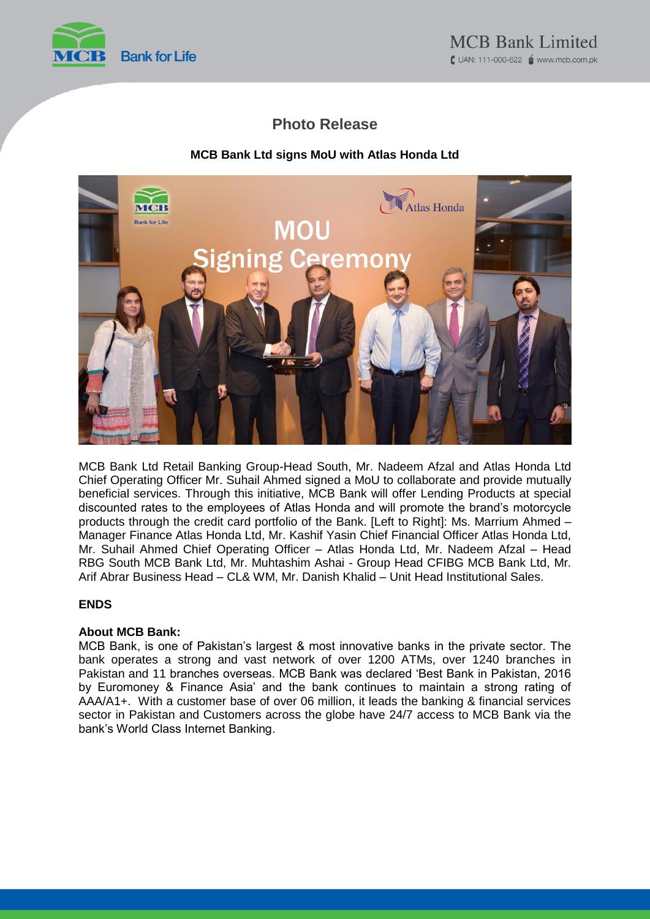

# **Photo Release**

## **MCB Bank Ltd signs MoU with Atlas Honda Ltd**



MCB Bank Ltd Retail Banking Group-Head South, Mr. Nadeem Afzal and Atlas Honda Ltd Chief Operating Officer Mr. Suhail Ahmed signed a MoU to collaborate and provide mutually beneficial services. Through this initiative, MCB Bank will offer Lending Products at special discounted rates to the employees of Atlas Honda and will promote the brand's motorcycle products through the credit card portfolio of the Bank. [Left to Right]: Ms. Marrium Ahmed – Manager Finance Atlas Honda Ltd, Mr. Kashif Yasin Chief Financial Officer Atlas Honda Ltd, Mr. Suhail Ahmed Chief Operating Officer – Atlas Honda Ltd, Mr. Nadeem Afzal – Head RBG South MCB Bank Ltd, Mr. Muhtashim Ashai - Group Head CFIBG MCB Bank Ltd, Mr. Arif Abrar Business Head – CL& WM, Mr. Danish Khalid – Unit Head Institutional Sales.

### **ENDS**

### **About MCB Bank:**

MCB Bank, is one of Pakistan's largest & most innovative banks in the private sector. The bank operates a strong and vast network of over 1200 ATMs, over 1240 branches in Pakistan and 11 branches overseas. MCB Bank was declared 'Best Bank in Pakistan, 2016 by Euromoney & Finance Asia' and the bank continues to maintain a strong rating of AAA/A1+. With a customer base of over 06 million, it leads the banking & financial services sector in Pakistan and Customers across the globe have 24/7 access to MCB Bank via the bank's World Class Internet Banking.